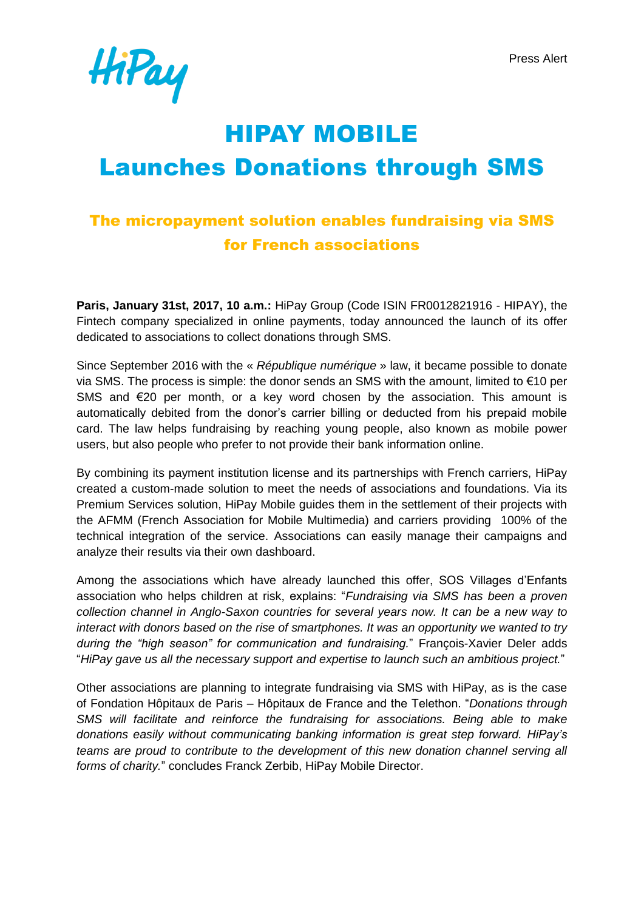Press Alert



# HIPAY MOBILE Launches Donations through SMS

# The micropayment solution enables fundraising via SMS for French associations

**Paris, January 31st, 2017, 10 a.m.:** HiPay Group (Code ISIN FR0012821916 - HIPAY), the Fintech company specialized in online payments, today announced the launch of its offer dedicated to associations to collect donations through SMS.

Since September 2016 with the « *République numérique* » law, it became possible to donate via SMS. The process is simple: the donor sends an SMS with the amount, limited to €10 per SMS and €20 per month, or a key word chosen by the association. This amount is automatically debited from the donor's carrier billing or deducted from his prepaid mobile card. The law helps fundraising by reaching young people, also known as mobile power users, but also people who prefer to not provide their bank information online.

By combining its payment institution license and its partnerships with French carriers, HiPay created a custom-made solution to meet the needs of associations and foundations. Via its Premium Services solution, HiPay Mobile guides them in the settlement of their projects with the AFMM (French Association for Mobile Multimedia) and carriers providing 100% of the technical integration of the service. Associations can easily manage their campaigns and analyze their results via their own dashboard.

Among the associations which have already launched this offer, SOS Villages d'Enfants association who helps children at risk, explains: "*Fundraising via SMS has been a proven collection channel in Anglo-Saxon countries for several years now. It can be a new way to interact with donors based on the rise of smartphones. It was an opportunity we wanted to try during the "high season" for communication and fundraising.*" François-Xavier Deler adds "*HiPay gave us all the necessary support and expertise to launch such an ambitious project.*"

Other associations are planning to integrate fundraising via SMS with HiPay, as is the case of Fondation Hôpitaux de Paris – Hôpitaux de France and the Telethon. "*Donations through SMS will facilitate and reinforce the fundraising for associations. Being able to make donations easily without communicating banking information is great step forward. HiPay's teams are proud to contribute to the development of this new donation channel serving all forms of charity.*" concludes Franck Zerbib, HiPay Mobile Director.